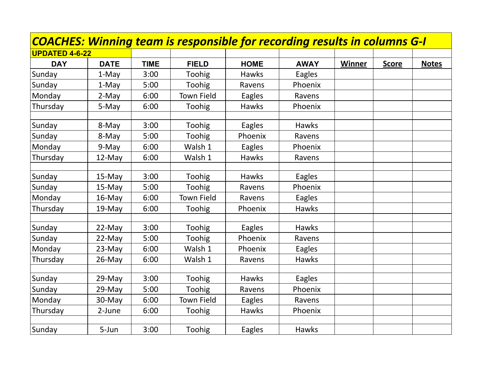|                       |             |             | COACHES: Winning team is responsible for recording results in columns G-I |               |               |        |              |              |
|-----------------------|-------------|-------------|---------------------------------------------------------------------------|---------------|---------------|--------|--------------|--------------|
| <b>UPDATED 4-6-22</b> |             |             |                                                                           |               |               |        |              |              |
| <b>DAY</b>            | <b>DATE</b> | <b>TIME</b> | <b>FIELD</b>                                                              | <b>HOME</b>   | <b>AWAY</b>   | Winner | <b>Score</b> | <b>Notes</b> |
| Sunday                | 1-May       | 3:00        | Toohig                                                                    | <b>Hawks</b>  | <b>Eagles</b> |        |              |              |
| Sunday                | 1-May       | 5:00        | Toohig                                                                    | Ravens        | Phoenix       |        |              |              |
| Monday                | 2-May       | 6:00        | <b>Town Field</b>                                                         | Eagles        | Ravens        |        |              |              |
| Thursday              | 5-May       | 6:00        | Toohig                                                                    | <b>Hawks</b>  | Phoenix       |        |              |              |
| Sunday                | 8-May       | 3:00        | Toohig                                                                    | <b>Eagles</b> | <b>Hawks</b>  |        |              |              |
| Sunday                | 8-May       | 5:00        | Toohig                                                                    | Phoenix       | Ravens        |        |              |              |
| Monday                | 9-May       | 6:00        | Walsh 1                                                                   | Eagles        | Phoenix       |        |              |              |
| Thursday              | 12-May      | 6:00        | Walsh 1                                                                   | <b>Hawks</b>  | Ravens        |        |              |              |
| Sunday                | 15-May      | 3:00        | Toohig                                                                    | <b>Hawks</b>  | Eagles        |        |              |              |
| Sunday                | 15-May      | 5:00        | Toohig                                                                    | Ravens        | Phoenix       |        |              |              |
| Monday                | $16$ -May   | 6:00        | <b>Town Field</b>                                                         | Ravens        | Eagles        |        |              |              |
| Thursday              | 19-May      | 6:00        | Toohig                                                                    | Phoenix       | <b>Hawks</b>  |        |              |              |
| Sunday                | 22-May      | 3:00        | Toohig                                                                    | Eagles        | <b>Hawks</b>  |        |              |              |
| Sunday                | 22-May      | 5:00        | Toohig                                                                    | Phoenix       | Ravens        |        |              |              |
| Monday                | 23-May      | 6:00        | Walsh 1                                                                   | Phoenix       | Eagles        |        |              |              |
| Thursday              | 26-May      | 6:00        | Walsh 1                                                                   | Ravens        | <b>Hawks</b>  |        |              |              |
|                       |             |             |                                                                           |               |               |        |              |              |
| Sunday                | 29-May      | 3:00        | Toohig                                                                    | <b>Hawks</b>  | Eagles        |        |              |              |
| Sunday                | 29-May      | 5:00        | Toohig                                                                    | Ravens        | Phoenix       |        |              |              |
| Monday                | 30-May      | 6:00        | <b>Town Field</b>                                                         | Eagles        | Ravens        |        |              |              |
| Thursday              | 2-June      | 6:00        | Toohig                                                                    | Hawks         | Phoenix       |        |              |              |
| Sunday                | 5-Jun       | 3:00        | Toohig                                                                    | Eagles        | <b>Hawks</b>  |        |              |              |

the control of the control of the control of the control of the control of the control of